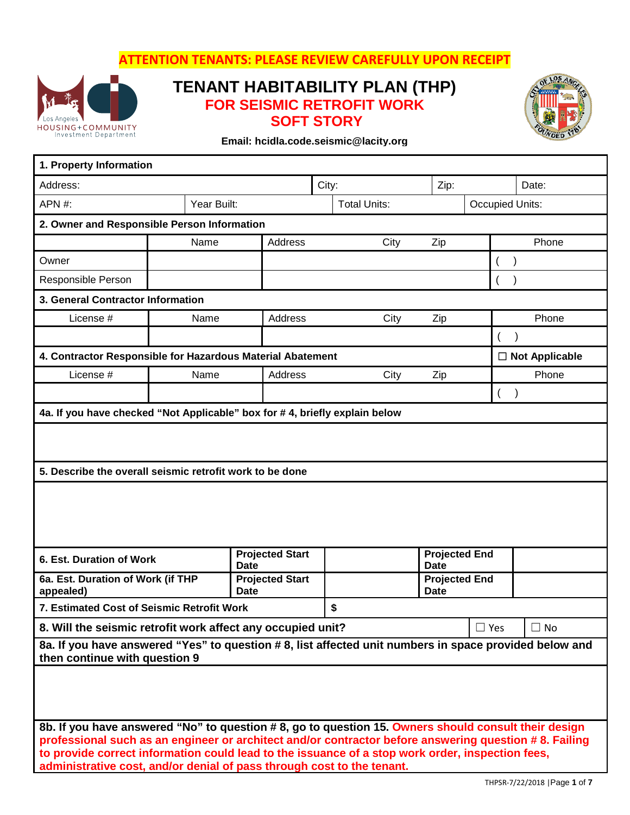**ATTENTION TENANTS: PLEASE REVIEW CAREFULLY UPON RECEIPT**



# **TENANT HABITABILITY PLAN (THP) FOR SEISMIC RETROFIT WORK SOFT STORY**



**Email: hcidla.code.seismic@lacity.org**

| 1. Property Information                                                                                                                                                                                                                                                                                                                                                                    |      |                                       |  |                     |                                     |                 |                       |  |
|--------------------------------------------------------------------------------------------------------------------------------------------------------------------------------------------------------------------------------------------------------------------------------------------------------------------------------------------------------------------------------------------|------|---------------------------------------|--|---------------------|-------------------------------------|-----------------|-----------------------|--|
| Address:                                                                                                                                                                                                                                                                                                                                                                                   |      |                                       |  | City:<br>Zip:       |                                     |                 | Date:                 |  |
| APN #:<br>Year Built:                                                                                                                                                                                                                                                                                                                                                                      |      |                                       |  | <b>Total Units:</b> |                                     | Occupied Units: |                       |  |
| 2. Owner and Responsible Person Information                                                                                                                                                                                                                                                                                                                                                |      |                                       |  |                     |                                     |                 |                       |  |
|                                                                                                                                                                                                                                                                                                                                                                                            | Name | Address                               |  | City                | Zip                                 |                 | Phone                 |  |
| Owner                                                                                                                                                                                                                                                                                                                                                                                      |      |                                       |  |                     |                                     |                 |                       |  |
| Responsible Person                                                                                                                                                                                                                                                                                                                                                                         |      |                                       |  |                     |                                     |                 |                       |  |
| 3. General Contractor Information                                                                                                                                                                                                                                                                                                                                                          |      |                                       |  |                     |                                     |                 |                       |  |
| License #                                                                                                                                                                                                                                                                                                                                                                                  | Name | Address                               |  | City                | Zip                                 |                 | Phone                 |  |
|                                                                                                                                                                                                                                                                                                                                                                                            |      |                                       |  |                     |                                     |                 |                       |  |
| 4. Contractor Responsible for Hazardous Material Abatement                                                                                                                                                                                                                                                                                                                                 |      |                                       |  |                     |                                     |                 | $\Box$ Not Applicable |  |
| License #                                                                                                                                                                                                                                                                                                                                                                                  | Name | Address                               |  | City                | Zip                                 |                 | Phone                 |  |
|                                                                                                                                                                                                                                                                                                                                                                                            |      |                                       |  |                     |                                     |                 |                       |  |
| 4a. If you have checked "Not Applicable" box for #4, briefly explain below                                                                                                                                                                                                                                                                                                                 |      |                                       |  |                     |                                     |                 |                       |  |
| 5. Describe the overall seismic retrofit work to be done                                                                                                                                                                                                                                                                                                                                   |      |                                       |  |                     |                                     |                 |                       |  |
|                                                                                                                                                                                                                                                                                                                                                                                            |      |                                       |  |                     |                                     |                 |                       |  |
| 6. Est. Duration of Work                                                                                                                                                                                                                                                                                                                                                                   |      | <b>Projected Start</b><br><b>Date</b> |  |                     | <b>Projected End</b><br><b>Date</b> |                 |                       |  |
| 6a. Est. Duration of Work (if THP<br>appealed)                                                                                                                                                                                                                                                                                                                                             |      | <b>Projected Start</b><br><b>Date</b> |  |                     | <b>Projected End</b><br><b>Date</b> |                 |                       |  |
| 7. Estimated Cost of Seismic Retrofit Work                                                                                                                                                                                                                                                                                                                                                 |      |                                       |  | \$                  |                                     |                 |                       |  |
| 8. Will the seismic retrofit work affect any occupied unit?                                                                                                                                                                                                                                                                                                                                |      |                                       |  |                     |                                     | $\Box$ Yes      | $\Box$ No             |  |
| 8a. If you have answered "Yes" to question #8, list affected unit numbers in space provided below and<br>then continue with question 9                                                                                                                                                                                                                                                     |      |                                       |  |                     |                                     |                 |                       |  |
|                                                                                                                                                                                                                                                                                                                                                                                            |      |                                       |  |                     |                                     |                 |                       |  |
| 8b. If you have answered "No" to question #8, go to question 15. Owners should consult their design<br>professional such as an engineer or architect and/or contractor before answering question #8. Failing<br>to provide correct information could lead to the issuance of a stop work order, inspection fees,<br>administrative cost, and/or denial of pass through cost to the tenant. |      |                                       |  |                     |                                     |                 |                       |  |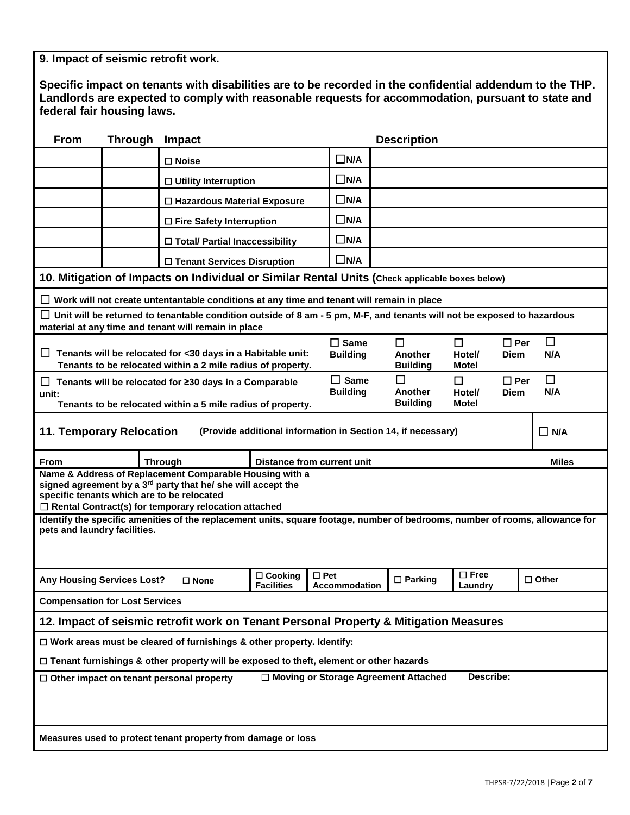**9. Impact of seismic retrofit work.**

| Specific impact on tenants with disabilities are to be recorded in the confidential addendum to the THP. |
|----------------------------------------------------------------------------------------------------------|
| Landlords are expected to comply with reasonable requests for accommodation, pursuant to state and       |
| federal fair housing laws.                                                                               |

| From                                                                                            | <b>Through</b> | Impact                                                                                                                                                                                      |                                     |                                        | <b>Description</b>               |                           |               |              |
|-------------------------------------------------------------------------------------------------|----------------|---------------------------------------------------------------------------------------------------------------------------------------------------------------------------------------------|-------------------------------------|----------------------------------------|----------------------------------|---------------------------|---------------|--------------|
|                                                                                                 |                | $\square$ Noise                                                                                                                                                                             |                                     |                                        |                                  |                           |               |              |
|                                                                                                 |                | $\Box$ Utility Interruption                                                                                                                                                                 |                                     | $\Box$ N/A                             |                                  |                           |               |              |
|                                                                                                 |                | $\Box$ Hazardous Material Exposure                                                                                                                                                          |                                     | $\square$ N/A                          |                                  |                           |               |              |
|                                                                                                 |                | $\Box$ Fire Safety Interruption                                                                                                                                                             |                                     | $\square$ N/A                          |                                  |                           |               |              |
|                                                                                                 |                | □ Total/ Partial Inaccessibility                                                                                                                                                            |                                     | $\Box$ N/A                             |                                  |                           |               |              |
|                                                                                                 |                | □ Tenant Services Disruption                                                                                                                                                                |                                     | $\Box$ N/A                             |                                  |                           |               |              |
|                                                                                                 |                | 10. Mitigation of Impacts on Individual or Similar Rental Units (Check applicable boxes below)                                                                                              |                                     |                                        |                                  |                           |               |              |
|                                                                                                 |                | $\Box$ Work will not create untentantable conditions at any time and tenant will remain in place                                                                                            |                                     |                                        |                                  |                           |               |              |
|                                                                                                 |                | $\Box$ Unit will be returned to tenantable condition outside of 8 am - 5 pm, M-F, and tenants will not be exposed to hazardous<br>material at any time and tenant will remain in place      |                                     |                                        |                                  |                           |               |              |
| ப                                                                                               |                | Tenants will be relocated for <30 days in a Habitable unit:<br>Tenants to be relocated within a 2 mile radius of property.                                                                  | $\Box$ Same<br><b>Building</b>      | $\Box$<br>Another<br><b>Building</b>   | $\Box$<br>Hotel/<br>Motel        | $\Box$ Per<br><b>Diem</b> | $\Box$<br>N/A |              |
| ப<br>unit:                                                                                      |                | Tenants will be relocated for ≥30 days in a Comparable<br>Tenants to be relocated within a 5 mile radius of property.                                                                       | $\Box$ Same<br><b>Building</b>      | П<br>Another<br><b>Building</b>        | $\Box$<br>Hotel/<br><b>Motel</b> | $\Box$ Per<br><b>Diem</b> | П<br>N/A      |              |
| <b>11. Temporary Relocation</b><br>(Provide additional information in Section 14, if necessary) |                |                                                                                                                                                                                             |                                     |                                        |                                  |                           |               | $\Box$ N/A   |
| From                                                                                            |                | <b>Through</b>                                                                                                                                                                              |                                     | <b>Distance from current unit</b>      |                                  |                           |               | <b>Miles</b> |
|                                                                                                 |                | Name & Address of Replacement Comparable Housing with a<br>signed agreement by a 3rd party that he/ she will accept the<br>specific tenants which are to be relocated                       |                                     |                                        |                                  |                           |               |              |
|                                                                                                 |                | $\Box$ Rental Contract(s) for temporary relocation attached<br>Identify the specific amenities of the replacement units, square footage, number of bedrooms, number of rooms, allowance for |                                     |                                        |                                  |                           |               |              |
| pets and laundry facilities.                                                                    |                |                                                                                                                                                                                             |                                     |                                        |                                  |                           |               |              |
| <b>Any Housing Services Lost?</b>                                                               |                | $\square$ None                                                                                                                                                                              | $\Box$ Cooking<br><b>Facilities</b> | $\square$ Pet<br><b>Accommodation</b>  | $\Box$ Parking                   | $\Box$ Free<br>Laundry    |               | $\Box$ Other |
| <b>Compensation for Lost Services</b>                                                           |                |                                                                                                                                                                                             |                                     |                                        |                                  |                           |               |              |
| 12. Impact of seismic retrofit work on Tenant Personal Property & Mitigation Measures           |                |                                                                                                                                                                                             |                                     |                                        |                                  |                           |               |              |
|                                                                                                 |                |                                                                                                                                                                                             |                                     |                                        |                                  |                           |               |              |
|                                                                                                 |                | $\Box$ Work areas must be cleared of furnishings & other property. Identify:                                                                                                                |                                     |                                        |                                  |                           |               |              |
|                                                                                                 |                | $\Box$ Tenant furnishings & other property will be exposed to theft, element or other hazards                                                                                               |                                     |                                        |                                  |                           |               |              |
|                                                                                                 |                | $\Box$ Other impact on tenant personal property                                                                                                                                             |                                     | □ Moving or Storage Agreement Attached |                                  | Describe:                 |               |              |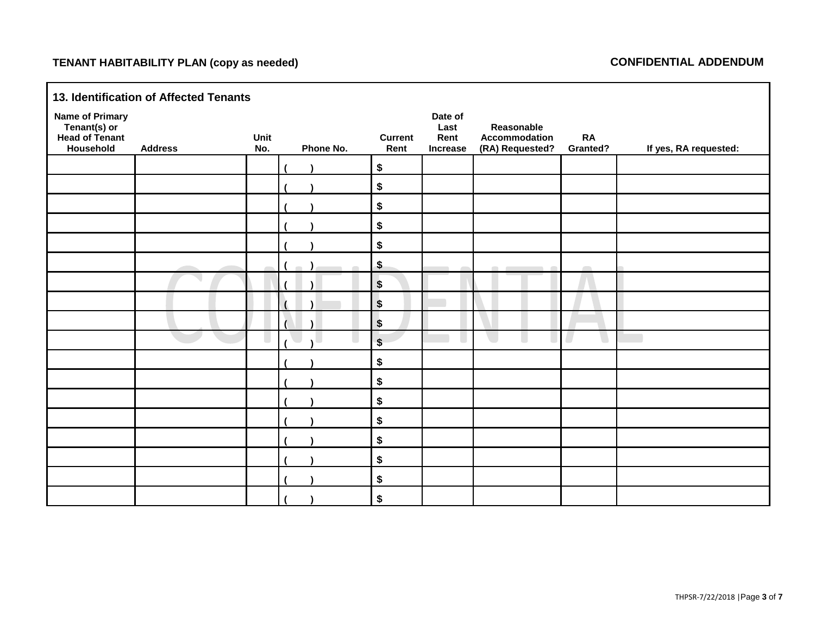## **TENANT HABITABILITY PLAN (copy as needed) CONFIDENTIAL ADDENDUM**

| 13. Identification of Affected Tenants                                       |                |             |           |                           |                                            |                                                |                       |                       |
|------------------------------------------------------------------------------|----------------|-------------|-----------|---------------------------|--------------------------------------------|------------------------------------------------|-----------------------|-----------------------|
| <b>Name of Primary</b><br>Tenant(s) or<br><b>Head of Tenant</b><br>Household | <b>Address</b> | Unit<br>No. | Phone No. | <b>Current</b><br>Rent    | Date of<br>Last<br>Rent<br><b>Increase</b> | Reasonable<br>Accommodation<br>(RA) Requested? | <b>RA</b><br>Granted? | If yes, RA requested: |
|                                                                              |                |             |           | $\pmb{\$}$                |                                            |                                                |                       |                       |
|                                                                              |                |             |           | \$                        |                                            |                                                |                       |                       |
|                                                                              |                |             |           | \$                        |                                            |                                                |                       |                       |
|                                                                              |                |             |           | \$                        |                                            |                                                |                       |                       |
|                                                                              |                |             |           | \$                        |                                            |                                                |                       |                       |
|                                                                              |                |             |           | \$                        |                                            |                                                | $\sqrt{2}$            |                       |
|                                                                              |                |             |           | $\boldsymbol{\$}$         |                                            |                                                |                       |                       |
|                                                                              |                |             |           | $\boldsymbol{\$}$         |                                            |                                                |                       |                       |
|                                                                              |                |             |           | $\boldsymbol{\mathsf{s}}$ |                                            |                                                |                       |                       |
|                                                                              |                |             |           | $\sqrt[6]{\frac{1}{2}}$   |                                            |                                                |                       |                       |
|                                                                              |                |             |           | \$                        |                                            |                                                |                       |                       |
|                                                                              |                |             |           | \$                        |                                            |                                                |                       |                       |
|                                                                              |                |             |           | $\pmb{\$}$                |                                            |                                                |                       |                       |
|                                                                              |                |             |           | \$                        |                                            |                                                |                       |                       |
|                                                                              |                |             |           | \$                        |                                            |                                                |                       |                       |
|                                                                              |                |             |           | \$                        |                                            |                                                |                       |                       |
|                                                                              |                |             |           | \$                        |                                            |                                                |                       |                       |
|                                                                              |                |             |           | \$                        |                                            |                                                |                       |                       |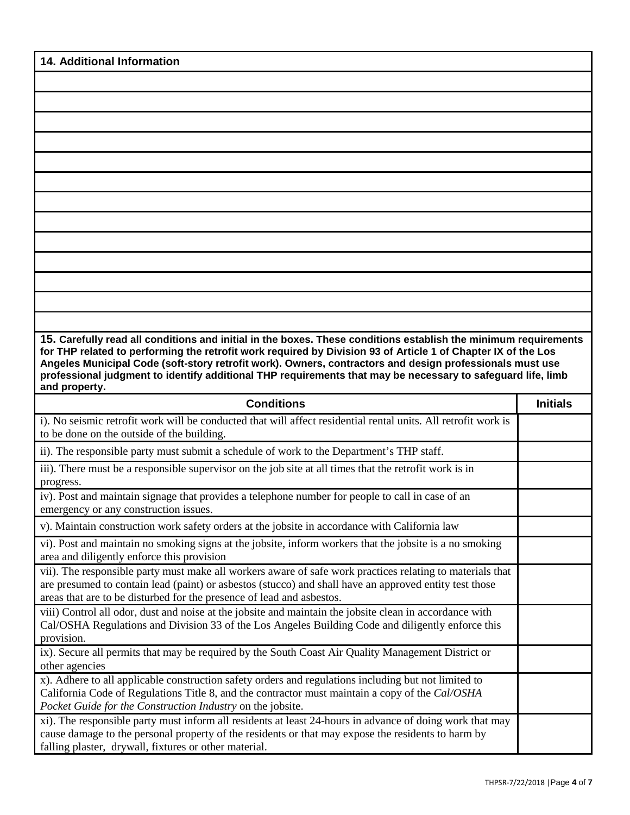| <b>14. Additional Information</b>                                                                                                                                                                                                                                                                                                                                                                                                                                            |                 |
|------------------------------------------------------------------------------------------------------------------------------------------------------------------------------------------------------------------------------------------------------------------------------------------------------------------------------------------------------------------------------------------------------------------------------------------------------------------------------|-----------------|
|                                                                                                                                                                                                                                                                                                                                                                                                                                                                              |                 |
|                                                                                                                                                                                                                                                                                                                                                                                                                                                                              |                 |
|                                                                                                                                                                                                                                                                                                                                                                                                                                                                              |                 |
|                                                                                                                                                                                                                                                                                                                                                                                                                                                                              |                 |
|                                                                                                                                                                                                                                                                                                                                                                                                                                                                              |                 |
|                                                                                                                                                                                                                                                                                                                                                                                                                                                                              |                 |
|                                                                                                                                                                                                                                                                                                                                                                                                                                                                              |                 |
|                                                                                                                                                                                                                                                                                                                                                                                                                                                                              |                 |
|                                                                                                                                                                                                                                                                                                                                                                                                                                                                              |                 |
|                                                                                                                                                                                                                                                                                                                                                                                                                                                                              |                 |
|                                                                                                                                                                                                                                                                                                                                                                                                                                                                              |                 |
|                                                                                                                                                                                                                                                                                                                                                                                                                                                                              |                 |
|                                                                                                                                                                                                                                                                                                                                                                                                                                                                              |                 |
|                                                                                                                                                                                                                                                                                                                                                                                                                                                                              |                 |
| 15. Carefully read all conditions and initial in the boxes. These conditions establish the minimum requirements<br>for THP related to performing the retrofit work required by Division 93 of Article 1 of Chapter IX of the Los<br>Angeles Municipal Code (soft-story retrofit work). Owners, contractors and design professionals must use<br>professional judgment to identify additional THP requirements that may be necessary to safeguard life, limb<br>and property. |                 |
| <b>Conditions</b>                                                                                                                                                                                                                                                                                                                                                                                                                                                            | <b>Initials</b> |
| i). No seismic retrofit work will be conducted that will affect residential rental units. All retrofit work is<br>to be done on the outside of the building.                                                                                                                                                                                                                                                                                                                 |                 |
| ii). The responsible party must submit a schedule of work to the Department's THP staff.                                                                                                                                                                                                                                                                                                                                                                                     |                 |
| iii). There must be a responsible supervisor on the job site at all times that the retrofit work is in<br>progress.                                                                                                                                                                                                                                                                                                                                                          |                 |
| iv). Post and maintain signage that provides a telephone number for people to call in case of an<br>emergency or any construction issues.                                                                                                                                                                                                                                                                                                                                    |                 |
| v). Maintain construction work safety orders at the jobsite in accordance with California law                                                                                                                                                                                                                                                                                                                                                                                |                 |
|                                                                                                                                                                                                                                                                                                                                                                                                                                                                              |                 |
| vi). Post and maintain no smoking signs at the jobsite, inform workers that the jobsite is a no smoking                                                                                                                                                                                                                                                                                                                                                                      |                 |
| area and diligently enforce this provision<br>vii). The responsible party must make all workers aware of safe work practices relating to materials that<br>are presumed to contain lead (paint) or asbestos (stucco) and shall have an approved entity test those                                                                                                                                                                                                            |                 |
| areas that are to be disturbed for the presence of lead and asbestos.<br>viii) Control all odor, dust and noise at the jobsite and maintain the jobsite clean in accordance with<br>Cal/OSHA Regulations and Division 33 of the Los Angeles Building Code and diligently enforce this                                                                                                                                                                                        |                 |
| provision.<br>ix). Secure all permits that may be required by the South Coast Air Quality Management District or                                                                                                                                                                                                                                                                                                                                                             |                 |
| other agencies<br>x). Adhere to all applicable construction safety orders and regulations including but not limited to<br>California Code of Regulations Title 8, and the contractor must maintain a copy of the Cal/OSHA<br>Pocket Guide for the Construction Industry on the jobsite.                                                                                                                                                                                      |                 |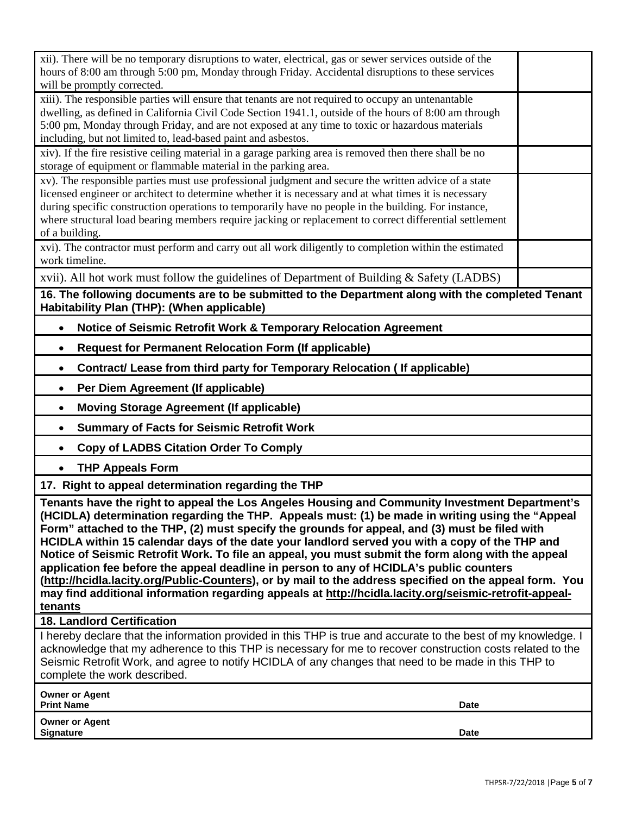| <b>Owner or Agent</b><br><b>Signature</b><br>Date                                                                                                                                                                                                                                                                                                                                                                                                                                                                                                                                                                                                                                                                                                                                                                                                                                                                                                                                                                                                                                                                                       |  |
|-----------------------------------------------------------------------------------------------------------------------------------------------------------------------------------------------------------------------------------------------------------------------------------------------------------------------------------------------------------------------------------------------------------------------------------------------------------------------------------------------------------------------------------------------------------------------------------------------------------------------------------------------------------------------------------------------------------------------------------------------------------------------------------------------------------------------------------------------------------------------------------------------------------------------------------------------------------------------------------------------------------------------------------------------------------------------------------------------------------------------------------------|--|
| <b>Owner or Agent</b><br><b>Print Name</b><br><b>Date</b>                                                                                                                                                                                                                                                                                                                                                                                                                                                                                                                                                                                                                                                                                                                                                                                                                                                                                                                                                                                                                                                                               |  |
| I hereby declare that the information provided in this THP is true and accurate to the best of my knowledge. I<br>acknowledge that my adherence to this THP is necessary for me to recover construction costs related to the<br>Seismic Retrofit Work, and agree to notify HCIDLA of any changes that need to be made in this THP to<br>complete the work described.                                                                                                                                                                                                                                                                                                                                                                                                                                                                                                                                                                                                                                                                                                                                                                    |  |
| <b>18. Landlord Certification</b>                                                                                                                                                                                                                                                                                                                                                                                                                                                                                                                                                                                                                                                                                                                                                                                                                                                                                                                                                                                                                                                                                                       |  |
| <b>Moving Storage Agreement (If applicable)</b><br>$\bullet$<br><b>Summary of Facts for Seismic Retrofit Work</b><br>$\bullet$<br><b>Copy of LADBS Citation Order To Comply</b><br>$\bullet$<br><b>THP Appeals Form</b><br>$\bullet$<br>17. Right to appeal determination regarding the THP<br>Tenants have the right to appeal the Los Angeles Housing and Community Investment Department's<br>(HCIDLA) determination regarding the THP.  Appeals must: (1) be made in writing using the "Appeal<br>Form" attached to the THP, (2) must specify the grounds for appeal, and (3) must be filed with<br>HCIDLA within 15 calendar days of the date your landlord served you with a copy of the THP and<br>Notice of Seismic Retrofit Work. To file an appeal, you must submit the form along with the appeal<br>application fee before the appeal deadline in person to any of HCIDLA's public counters<br>(http://hcidla.lacity.org/Public-Counters), or by mail to the address specified on the appeal form. You<br>may find additional information regarding appeals at http://hcidla.lacity.org/seismic-retrofit-appeal-<br>tenants |  |
| Per Diem Agreement (If applicable)<br>$\bullet$                                                                                                                                                                                                                                                                                                                                                                                                                                                                                                                                                                                                                                                                                                                                                                                                                                                                                                                                                                                                                                                                                         |  |
| Contract/ Lease from third party for Temporary Relocation ( If applicable)<br>$\bullet$                                                                                                                                                                                                                                                                                                                                                                                                                                                                                                                                                                                                                                                                                                                                                                                                                                                                                                                                                                                                                                                 |  |
| <b>Request for Permanent Relocation Form (If applicable)</b><br>$\bullet$                                                                                                                                                                                                                                                                                                                                                                                                                                                                                                                                                                                                                                                                                                                                                                                                                                                                                                                                                                                                                                                               |  |
| Notice of Seismic Retrofit Work & Temporary Relocation Agreement<br>$\bullet$                                                                                                                                                                                                                                                                                                                                                                                                                                                                                                                                                                                                                                                                                                                                                                                                                                                                                                                                                                                                                                                           |  |
| 16. The following documents are to be submitted to the Department along with the completed Tenant<br>Habitability Plan (THP): (When applicable)                                                                                                                                                                                                                                                                                                                                                                                                                                                                                                                                                                                                                                                                                                                                                                                                                                                                                                                                                                                         |  |
| xvii). All hot work must follow the guidelines of Department of Building & Safety (LADBS)                                                                                                                                                                                                                                                                                                                                                                                                                                                                                                                                                                                                                                                                                                                                                                                                                                                                                                                                                                                                                                               |  |
| of a building.<br>xvi). The contractor must perform and carry out all work diligently to completion within the estimated<br>work timeline.                                                                                                                                                                                                                                                                                                                                                                                                                                                                                                                                                                                                                                                                                                                                                                                                                                                                                                                                                                                              |  |
| xv). The responsible parties must use professional judgment and secure the written advice of a state<br>licensed engineer or architect to determine whether it is necessary and at what times it is necessary<br>during specific construction operations to temporarily have no people in the building. For instance,<br>where structural load bearing members require jacking or replacement to correct differential settlement                                                                                                                                                                                                                                                                                                                                                                                                                                                                                                                                                                                                                                                                                                        |  |
| xiv). If the fire resistive ceiling material in a garage parking area is removed then there shall be no<br>storage of equipment or flammable material in the parking area.                                                                                                                                                                                                                                                                                                                                                                                                                                                                                                                                                                                                                                                                                                                                                                                                                                                                                                                                                              |  |
| xiii). The responsible parties will ensure that tenants are not required to occupy an untenantable<br>dwelling, as defined in California Civil Code Section 1941.1, outside of the hours of 8:00 am through<br>5:00 pm, Monday through Friday, and are not exposed at any time to toxic or hazardous materials<br>including, but not limited to, lead-based paint and asbestos.                                                                                                                                                                                                                                                                                                                                                                                                                                                                                                                                                                                                                                                                                                                                                         |  |
| xii). There will be no temporary disruptions to water, electrical, gas or sewer services outside of the<br>hours of 8:00 am through 5:00 pm, Monday through Friday. Accidental disruptions to these services<br>will be promptly corrected.                                                                                                                                                                                                                                                                                                                                                                                                                                                                                                                                                                                                                                                                                                                                                                                                                                                                                             |  |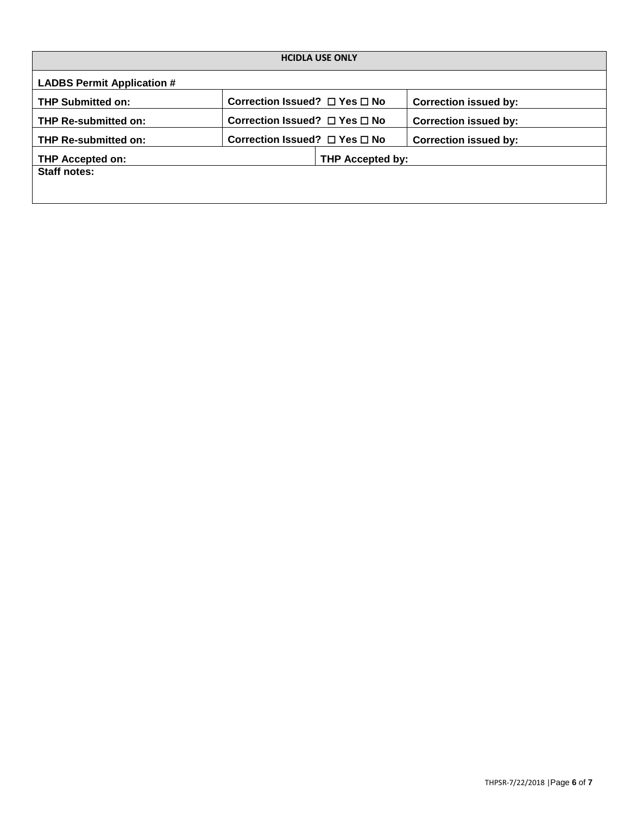| <b>HCIDLA USE ONLY</b>            |                                         |                  |                              |  |  |  |  |  |
|-----------------------------------|-----------------------------------------|------------------|------------------------------|--|--|--|--|--|
| <b>LADBS Permit Application #</b> |                                         |                  |                              |  |  |  |  |  |
| <b>THP Submitted on:</b>          | Correction Issued? $\Box$ Yes $\Box$ No |                  | <b>Correction issued by:</b> |  |  |  |  |  |
| <b>THP Re-submitted on:</b>       | Correction Issued? $\Box$ Yes $\Box$ No |                  | <b>Correction issued by:</b> |  |  |  |  |  |
| <b>THP Re-submitted on:</b>       | Correction Issued? $\Box$ Yes $\Box$ No |                  | <b>Correction issued by:</b> |  |  |  |  |  |
| THP Accepted on:                  |                                         | THP Accepted by: |                              |  |  |  |  |  |
| <b>Staff notes:</b>               |                                         |                  |                              |  |  |  |  |  |
|                                   |                                         |                  |                              |  |  |  |  |  |